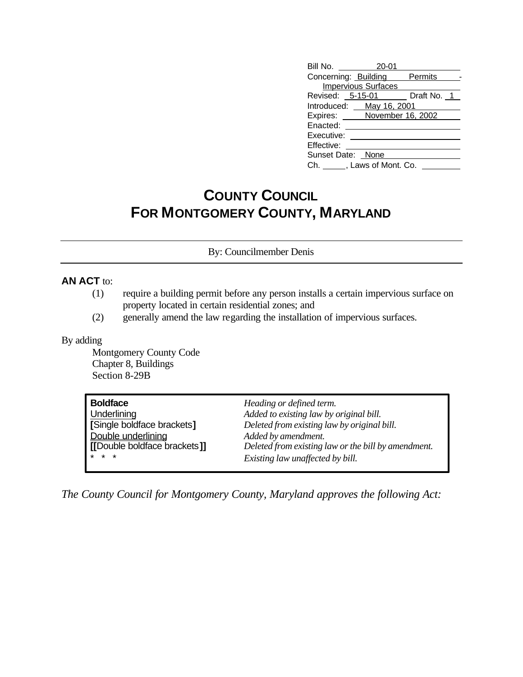| Bill No. 20-01             |                            |                              |
|----------------------------|----------------------------|------------------------------|
|                            |                            | Concerning: Building Permits |
|                            | <b>Impervious Surfaces</b> |                              |
|                            |                            | Revised: 5-15-01 Draft No. 1 |
| Introduced: _ May 16, 2001 |                            |                              |
|                            |                            | Expires: November 16, 2002   |
| Enacted:                   |                            |                              |
| Executive:                 |                            |                              |
| Effective:                 |                            |                              |
| Sunset Date: None          |                            |                              |
| Ch. , Laws of Mont. Co.    |                            |                              |

## **COUNTY COUNCIL FOR MONTGOMERY COUNTY, MARYLAND**

By: Councilmember Denis

## **AN ACT** to:

- (1) require a building permit before any person installs a certain impervious surface on property located in certain residential zones; and
- (2) generally amend the law regarding the installation of impervious surfaces.

## By adding

Montgomery County Code Chapter 8, Buildings Section 8-29B

| <b>Boldface</b>              | Heading or defined term.                            |
|------------------------------|-----------------------------------------------------|
| Underlining                  | Added to existing law by original bill.             |
| Single boldface brackets]    | Deleted from existing law by original bill.         |
| Double underlining           | Added by amendment.                                 |
| [[Double boldface brackets]] | Deleted from existing law or the bill by amendment. |
| $* * *$                      | Existing law unaffected by bill.                    |

*The County Council for Montgomery County, Maryland approves the following Act:*